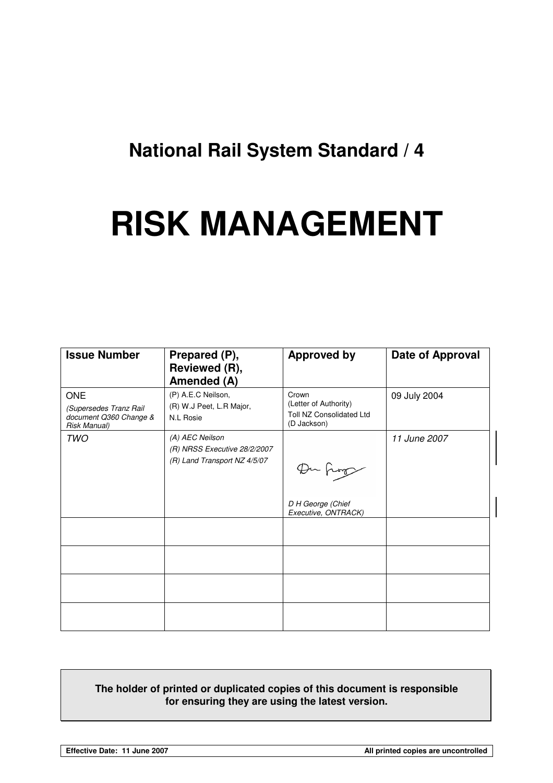## **National Rail System Standard / 4**

# **RISK MANAGEMENT**

| <b>Issue Number</b>                                                            | Prepared (P),<br>Reviewed (R),<br>Amended (A)                                   | <b>Approved by</b>                                                               | Date of Approval |  |
|--------------------------------------------------------------------------------|---------------------------------------------------------------------------------|----------------------------------------------------------------------------------|------------------|--|
| <b>ONE</b><br>(Supersedes Tranz Rail<br>document Q360 Change &<br>Risk Manual) | (P) A.E.C Neilson,<br>(R) W.J Peet, L.R Major,<br><b>N.L Rosie</b>              | Crown<br>(Letter of Authority)<br><b>Toll NZ Consolidated Ltd</b><br>(D Jackson) | 09 July 2004     |  |
| <b>TWO</b>                                                                     | (A) AEC Neilson<br>(R) NRSS Executive 28/2/2007<br>(R) Land Transport NZ 4/5/07 | Du hop<br>D H George (Chief<br>Executive, ONTRACK)                               | 11 June 2007     |  |
|                                                                                |                                                                                 |                                                                                  |                  |  |
|                                                                                |                                                                                 |                                                                                  |                  |  |
|                                                                                |                                                                                 |                                                                                  |                  |  |

#### **The holder of printed or duplicated copies of this document is responsible for ensuring they are using the latest version.**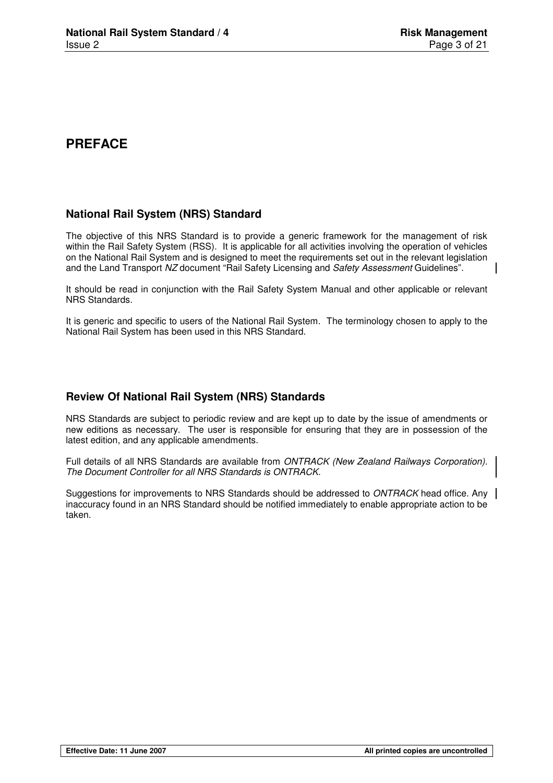## **PREFACE**

## **National Rail System (NRS) Standard**

The objective of this NRS Standard is to provide a generic framework for the management of risk within the Rail Safety System (RSS). It is applicable for all activities involving the operation of vehicles on the National Rail System and is designed to meet the requirements set out in the relevant legislation and the Land Transport NZ document "Rail Safety Licensing and Safety Assessment Guidelines".

It should be read in conjunction with the Rail Safety System Manual and other applicable or relevant NRS Standards.

It is generic and specific to users of the National Rail System. The terminology chosen to apply to the National Rail System has been used in this NRS Standard.

## **Review Of National Rail System (NRS) Standards**

NRS Standards are subject to periodic review and are kept up to date by the issue of amendments or new editions as necessary. The user is responsible for ensuring that they are in possession of the latest edition, and any applicable amendments.

Full details of all NRS Standards are available from *ONTRACK (New Zealand Railways Corporation)*. The Document Controller for all NRS Standards is ONTRACK.

Suggestions for improvements to NRS Standards should be addressed to ONTRACK head office. Any inaccuracy found in an NRS Standard should be notified immediately to enable appropriate action to be taken.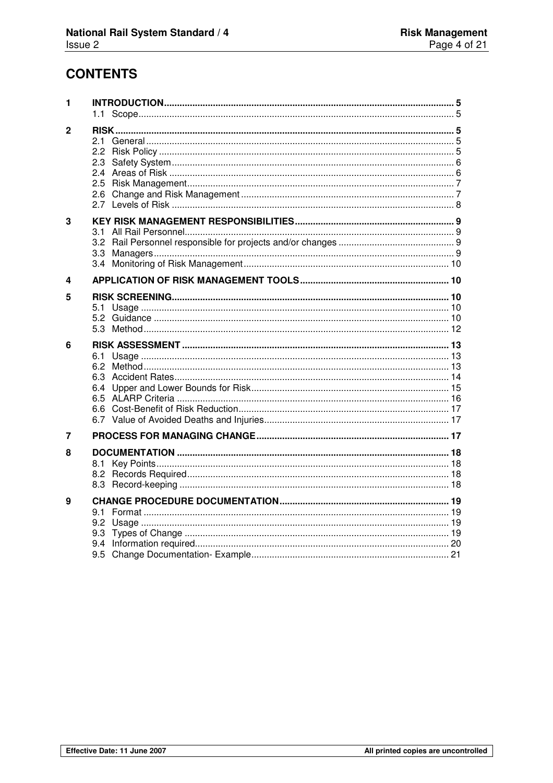## **CONTENTS**

| 1            | 1.1               |  |
|--------------|-------------------|--|
| $\mathbf{2}$ | 2.6               |  |
| 3            | 3.1<br>3.2<br>3.4 |  |
| 4            |                   |  |
| 5<br>6       |                   |  |
|              |                   |  |
| 7            |                   |  |
| 8            |                   |  |
| 9            | 9.3               |  |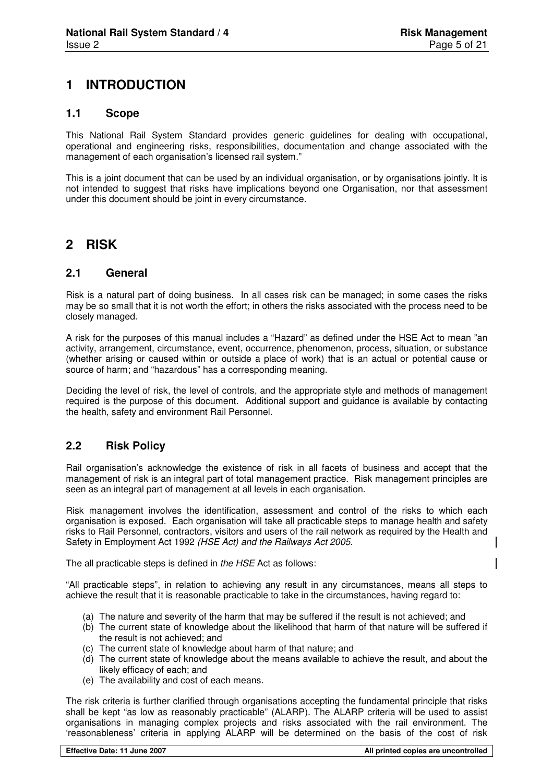## **1 INTRODUCTION**

#### **1.1 Scope**

This National Rail System Standard provides generic guidelines for dealing with occupational, operational and engineering risks, responsibilities, documentation and change associated with the management of each organisation's licensed rail system."

This is a joint document that can be used by an individual organisation, or by organisations jointly. It is not intended to suggest that risks have implications beyond one Organisation, nor that assessment under this document should be joint in every circumstance.

## **2 RISK**

#### **2.1 General**

Risk is a natural part of doing business. In all cases risk can be managed; in some cases the risks may be so small that it is not worth the effort; in others the risks associated with the process need to be closely managed.

A risk for the purposes of this manual includes a "Hazard" as defined under the HSE Act to mean "an activity, arrangement, circumstance, event, occurrence, phenomenon, process, situation, or substance (whether arising or caused within or outside a place of work) that is an actual or potential cause or source of harm; and "hazardous" has a corresponding meaning.

Deciding the level of risk, the level of controls, and the appropriate style and methods of management required is the purpose of this document. Additional support and guidance is available by contacting the health, safety and environment Rail Personnel.

#### **2.2 Risk Policy**

Rail organisation's acknowledge the existence of risk in all facets of business and accept that the management of risk is an integral part of total management practice. Risk management principles are seen as an integral part of management at all levels in each organisation.

Risk management involves the identification, assessment and control of the risks to which each organisation is exposed. Each organisation will take all practicable steps to manage health and safety risks to Rail Personnel, contractors, visitors and users of the rail network as required by the Health and Safety in Employment Act 1992 (HSE Act) and the Railways Act 2005.

The all practicable steps is defined in the HSE Act as follows:

"All practicable steps", in relation to achieving any result in any circumstances, means all steps to achieve the result that it is reasonable practicable to take in the circumstances, having regard to:

- (a) The nature and severity of the harm that may be suffered if the result is not achieved; and
- (b) The current state of knowledge about the likelihood that harm of that nature will be suffered if the result is not achieved; and
- (c) The current state of knowledge about harm of that nature; and
- (d) The current state of knowledge about the means available to achieve the result, and about the likely efficacy of each; and
- (e) The availability and cost of each means.

The risk criteria is further clarified through organisations accepting the fundamental principle that risks shall be kept "as low as reasonably practicable" (ALARP). The ALARP criteria will be used to assist organisations in managing complex projects and risks associated with the rail environment. The 'reasonableness' criteria in applying ALARP will be determined on the basis of the cost of risk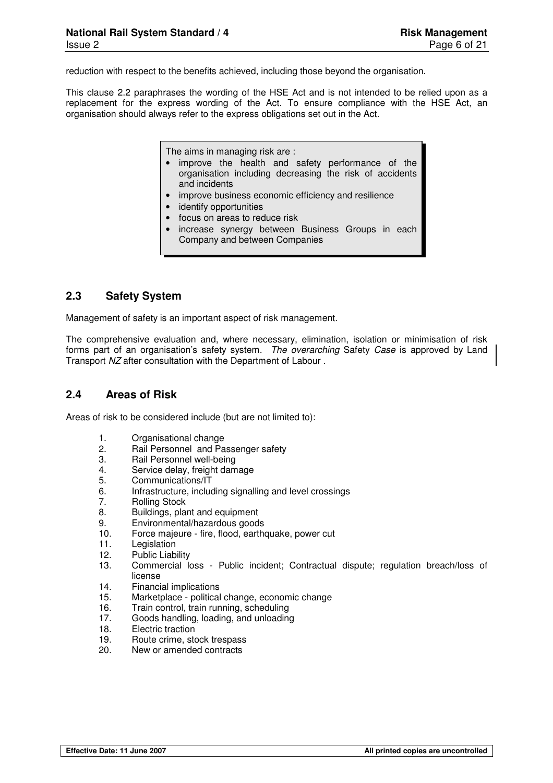reduction with respect to the benefits achieved, including those beyond the organisation.

This clause 2.2 paraphrases the wording of the HSE Act and is not intended to be relied upon as a replacement for the express wording of the Act. To ensure compliance with the HSE Act, an organisation should always refer to the express obligations set out in the Act.

The aims in managing risk are :

- improve the health and safety performance of the organisation including decreasing the risk of accidents and incidents
- improve business economic efficiency and resilience
- identify opportunities
- focus on areas to reduce risk
- increase synergy between Business Groups in each Company and between Companies

#### **2.3 Safety System**

Management of safety is an important aspect of risk management.

The comprehensive evaluation and, where necessary, elimination, isolation or minimisation of risk forms part of an organisation's safety system. The overarching Safety Case is approved by Land Transport NZ after consultation with the Department of Labour .

#### **2.4 Areas of Risk**

Areas of risk to be considered include (but are not limited to):

- 1. Organisational change
- 2. Rail Personnel and Passenger safety
- 3. Rail Personnel well-being
- 4. Service delay, freight damage
- 5. Communications/IT
- 6. Infrastructure, including signalling and level crossings
- 7. Rolling Stock
- 8. Buildings, plant and equipment
- 9. Environmental/hazardous goods
- 10. Force majeure fire, flood, earthquake, power cut
- 11. Legislation<br>12. Public Liab
- Public Liability
- 13. Commercial loss Public incident; Contractual dispute; regulation breach/loss of license
- 14. Financial implications
- 15. Marketplace political change, economic change
- 16. Train control, train running, scheduling
- 17. Goods handling, loading, and unloading
- 18. Electric traction
- 19. Route crime, stock trespass
- 20. New or amended contracts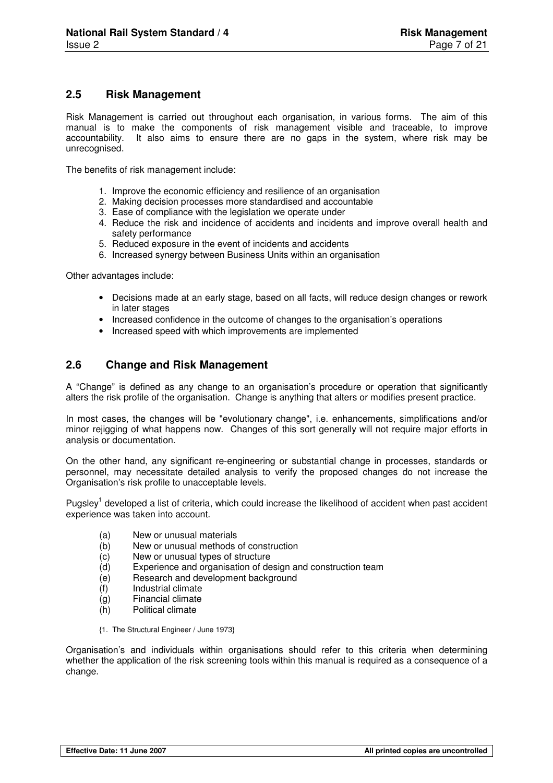#### **2.5 Risk Management**

Risk Management is carried out throughout each organisation, in various forms. The aim of this manual is to make the components of risk management visible and traceable, to improve accountability. It also aims to ensure there are no gaps in the system, where risk may be unrecognised.

The benefits of risk management include:

- 1. Improve the economic efficiency and resilience of an organisation
- 2. Making decision processes more standardised and accountable
- 3. Ease of compliance with the legislation we operate under
- 4. Reduce the risk and incidence of accidents and incidents and improve overall health and safety performance
- 5. Reduced exposure in the event of incidents and accidents
- 6. Increased synergy between Business Units within an organisation

Other advantages include:

- Decisions made at an early stage, based on all facts, will reduce design changes or rework in later stages
- Increased confidence in the outcome of changes to the organisation's operations
- Increased speed with which improvements are implemented

#### **2.6 Change and Risk Management**

A "Change" is defined as any change to an organisation's procedure or operation that significantly alters the risk profile of the organisation. Change is anything that alters or modifies present practice.

In most cases, the changes will be "evolutionary change", i.e. enhancements, simplifications and/or minor rejigging of what happens now. Changes of this sort generally will not require major efforts in analysis or documentation.

On the other hand, any significant re-engineering or substantial change in processes, standards or personnel, may necessitate detailed analysis to verify the proposed changes do not increase the Organisation's risk profile to unacceptable levels.

Pugsley<sup>1</sup> developed a list of criteria, which could increase the likelihood of accident when past accident experience was taken into account.

- (a) New or unusual materials
- (b) New or unusual methods of construction
- (c) New or unusual types of structure
- (d) Experience and organisation of design and construction team<br>(e) Research and development background
- Research and development background
- (f) Industrial climate
- (g) Financial climate
- (h) Political climate
- {1. The Structural Engineer / June 1973}

Organisation's and individuals within organisations should refer to this criteria when determining whether the application of the risk screening tools within this manual is required as a consequence of a change.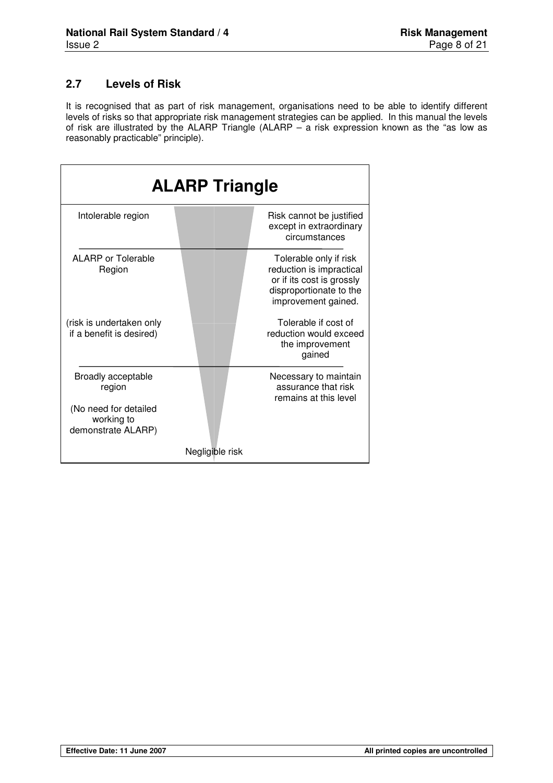## **2.7 Levels of Risk**

It is recognised that as part of risk management, organisations need to be able to identify different levels of risks so that appropriate risk management strategies can be applied. In this manual the levels of risk are illustrated by the ALARP Triangle (ALARP – a risk expression known as the "as low as reasonably practicable" principle).

|                                                              | <b>ALARP Triangle</b> |                                                                                                                                   |
|--------------------------------------------------------------|-----------------------|-----------------------------------------------------------------------------------------------------------------------------------|
| Intolerable region                                           |                       | Risk cannot be justified<br>except in extraordinary<br>circumstances                                                              |
| <b>ALARP or Tolerable</b><br>Region                          |                       | Tolerable only if risk<br>reduction is impractical<br>or if its cost is grossly<br>disproportionate to the<br>improvement gained. |
| (risk is undertaken only<br>if a benefit is desired)         |                       | Tolerable if cost of<br>reduction would exceed<br>the improvement<br>gained                                                       |
| <b>Broadly acceptable</b><br>region<br>(No need for detailed |                       | Necessary to maintain<br>assurance that risk<br>remains at this level                                                             |
| working to<br>demonstrate ALARP)                             |                       |                                                                                                                                   |
|                                                              | Negligible risk       |                                                                                                                                   |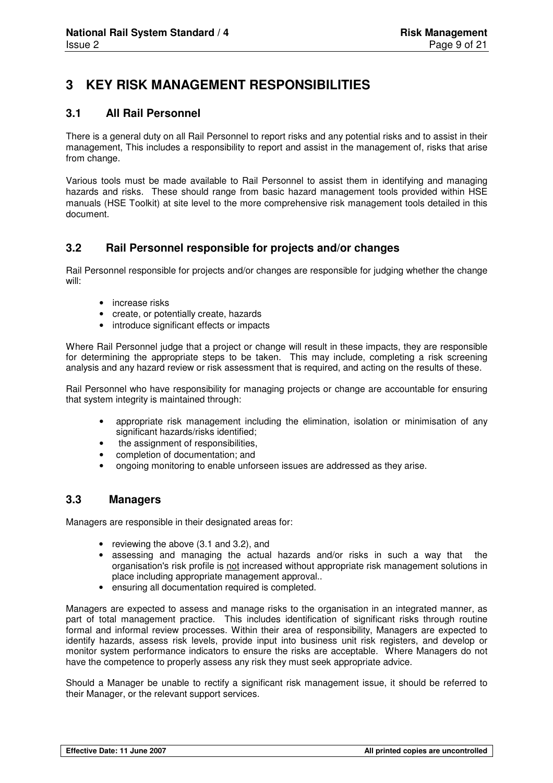## **3 KEY RISK MANAGEMENT RESPONSIBILITIES**

#### **3.1 All Rail Personnel**

There is a general duty on all Rail Personnel to report risks and any potential risks and to assist in their management, This includes a responsibility to report and assist in the management of, risks that arise from change.

Various tools must be made available to Rail Personnel to assist them in identifying and managing hazards and risks. These should range from basic hazard management tools provided within HSE manuals (HSE Toolkit) at site level to the more comprehensive risk management tools detailed in this document.

#### **3.2 Rail Personnel responsible for projects and/or changes**

Rail Personnel responsible for projects and/or changes are responsible for judging whether the change will:

- increase risks
- create, or potentially create, hazards
- introduce significant effects or impacts

Where Rail Personnel judge that a project or change will result in these impacts, they are responsible for determining the appropriate steps to be taken. This may include, completing a risk screening analysis and any hazard review or risk assessment that is required, and acting on the results of these.

Rail Personnel who have responsibility for managing projects or change are accountable for ensuring that system integrity is maintained through:

- appropriate risk management including the elimination, isolation or minimisation of any significant hazards/risks identified;
- the assignment of responsibilities.
- completion of documentation; and
- ongoing monitoring to enable unforseen issues are addressed as they arise.

#### **3.3 Managers**

Managers are responsible in their designated areas for:

- reviewing the above (3.1 and 3.2), and
- assessing and managing the actual hazards and/or risks in such a way that the organisation's risk profile is not increased without appropriate risk management solutions in place including appropriate management approval..
- ensuring all documentation required is completed.

Managers are expected to assess and manage risks to the organisation in an integrated manner, as part of total management practice. This includes identification of significant risks through routine formal and informal review processes. Within their area of responsibility, Managers are expected to identify hazards, assess risk levels, provide input into business unit risk registers, and develop or monitor system performance indicators to ensure the risks are acceptable. Where Managers do not have the competence to properly assess any risk they must seek appropriate advice.

Should a Manager be unable to rectify a significant risk management issue, it should be referred to their Manager, or the relevant support services.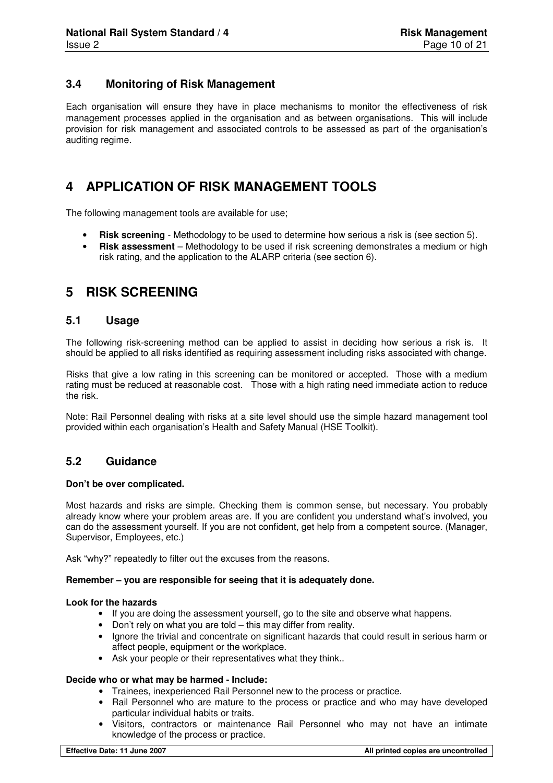#### **3.4 Monitoring of Risk Management**

Each organisation will ensure they have in place mechanisms to monitor the effectiveness of risk management processes applied in the organisation and as between organisations. This will include provision for risk management and associated controls to be assessed as part of the organisation's auditing regime.

## **4 APPLICATION OF RISK MANAGEMENT TOOLS**

The following management tools are available for use;

- **Risk screening** Methodology to be used to determine how serious a risk is (see section 5).
- **Risk assessment** Methodology to be used if risk screening demonstrates a medium or high risk rating, and the application to the ALARP criteria (see section 6).

## **5 RISK SCREENING**

#### **5.1 Usage**

The following risk-screening method can be applied to assist in deciding how serious a risk is. It should be applied to all risks identified as requiring assessment including risks associated with change.

Risks that give a low rating in this screening can be monitored or accepted. Those with a medium rating must be reduced at reasonable cost. Those with a high rating need immediate action to reduce the risk.

Note: Rail Personnel dealing with risks at a site level should use the simple hazard management tool provided within each organisation's Health and Safety Manual (HSE Toolkit).

#### **5.2 Guidance**

#### **Don't be over complicated.**

Most hazards and risks are simple. Checking them is common sense, but necessary. You probably already know where your problem areas are. If you are confident you understand what's involved, you can do the assessment yourself. If you are not confident, get help from a competent source. (Manager, Supervisor, Employees, etc.)

Ask "why?" repeatedly to filter out the excuses from the reasons.

#### **Remember – you are responsible for seeing that it is adequately done.**

#### **Look for the hazards**

- If you are doing the assessment yourself, go to the site and observe what happens.
- Don't rely on what you are told this may differ from reality.
- Ignore the trivial and concentrate on significant hazards that could result in serious harm or affect people, equipment or the workplace.
- Ask your people or their representatives what they think..

#### **Decide who or what may be harmed - Include:**

- Trainees, inexperienced Rail Personnel new to the process or practice.
- Rail Personnel who are mature to the process or practice and who may have developed particular individual habits or traits.
- Visitors, contractors or maintenance Rail Personnel who may not have an intimate knowledge of the process or practice.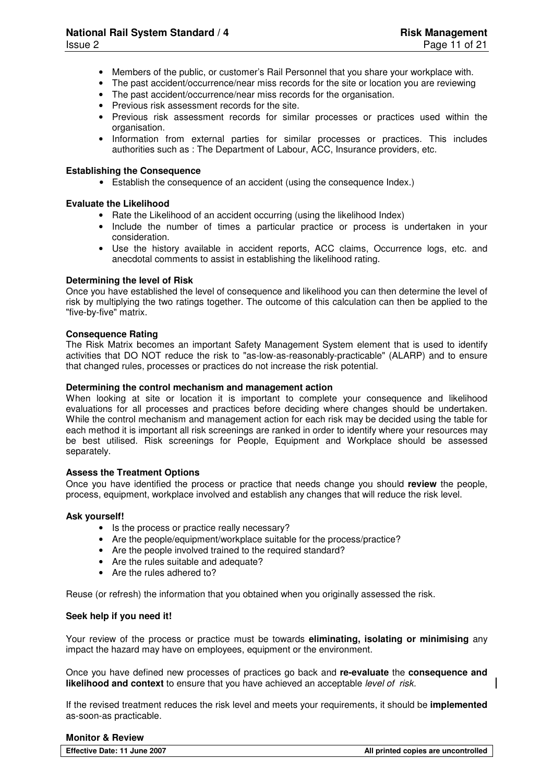- Members of the public, or customer's Rail Personnel that you share your workplace with.
- The past accident/occurrence/near miss records for the site or location you are reviewing
- The past accident/occurrence/near miss records for the organisation.
- Previous risk assessment records for the site.
- Previous risk assessment records for similar processes or practices used within the organisation.
- Information from external parties for similar processes or practices. This includes authorities such as : The Department of Labour, ACC, Insurance providers, etc.

#### **Establishing the Consequence**

• Establish the consequence of an accident (using the consequence Index.)

#### **Evaluate the Likelihood**

- Rate the Likelihood of an accident occurring (using the likelihood Index)
- Include the number of times a particular practice or process is undertaken in your consideration.
- Use the history available in accident reports, ACC claims, Occurrence logs, etc. and anecdotal comments to assist in establishing the likelihood rating.

#### **Determining the level of Risk**

Once you have established the level of consequence and likelihood you can then determine the level of risk by multiplying the two ratings together. The outcome of this calculation can then be applied to the "five-by-five" matrix.

#### **Consequence Rating**

The Risk Matrix becomes an important Safety Management System element that is used to identify activities that DO NOT reduce the risk to "as-low-as-reasonably-practicable" (ALARP) and to ensure that changed rules, processes or practices do not increase the risk potential.

#### **Determining the control mechanism and management action**

When looking at site or location it is important to complete your consequence and likelihood evaluations for all processes and practices before deciding where changes should be undertaken. While the control mechanism and management action for each risk may be decided using the table for each method it is important all risk screenings are ranked in order to identify where your resources may be best utilised. Risk screenings for People, Equipment and Workplace should be assessed separately.

#### **Assess the Treatment Options**

Once you have identified the process or practice that needs change you should **review** the people, process, equipment, workplace involved and establish any changes that will reduce the risk level.

#### **Ask yourself!**

- Is the process or practice really necessary?
- Are the people/equipment/workplace suitable for the process/practice?
- Are the people involved trained to the required standard?
- Are the rules suitable and adequate?
- Are the rules adhered to?

Reuse (or refresh) the information that you obtained when you originally assessed the risk.

#### **Seek help if you need it!**

Your review of the process or practice must be towards **eliminating, isolating or minimising** any impact the hazard may have on employees, equipment or the environment.

Once you have defined new processes of practices go back and **re-evaluate** the **consequence and likelihood and context** to ensure that you have achieved an acceptable *level of risk.* 

If the revised treatment reduces the risk level and meets your requirements, it should be **implemented**  as-soon-as practicable.

#### **Monitor & Review**

| Effective Date: 11 June 2007 | All printed copies are uncontrolled |
|------------------------------|-------------------------------------|
|                              |                                     |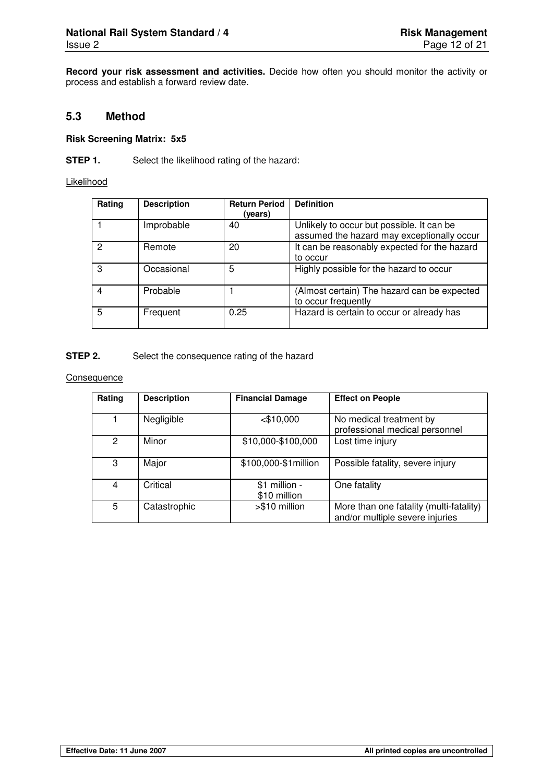**Record your risk assessment and activities.** Decide how often you should monitor the activity or process and establish a forward review date.

#### **5.3 Method**

#### **Risk Screening Matrix: 5x5**

**STEP 1.** Select the likelihood rating of the hazard:

Likelihood

| Rating | <b>Description</b> | <b>Return Period</b><br>(vears) | <b>Definition</b>                                                                       |
|--------|--------------------|---------------------------------|-----------------------------------------------------------------------------------------|
|        | Improbable         | 40                              | Unlikely to occur but possible. It can be<br>assumed the hazard may exceptionally occur |
| 2      | Remote             | 20                              | It can be reasonably expected for the hazard<br>to occur                                |
| 3      | Occasional         | 5                               | Highly possible for the hazard to occur                                                 |
| 4      | Probable           |                                 | (Almost certain) The hazard can be expected<br>to occur frequently                      |
| 5      | Frequent           | 0.25                            | Hazard is certain to occur or already has                                               |

#### **STEP 2.** Select the consequence rating of the hazard

**Consequence** 

| Rating | <b>Description</b> | <b>Financial Damage</b>        | <b>Effect on People</b>                                                    |
|--------|--------------------|--------------------------------|----------------------------------------------------------------------------|
|        | Negligible         | $<$ \$10,000                   | No medical treatment by<br>professional medical personnel                  |
| 2      | Minor              | \$10,000-\$100,000             | Lost time injury                                                           |
| 3      | Major              | \$100,000-\$1million           | Possible fatality, severe injury                                           |
| 4      | Critical           | $$1$ million -<br>\$10 million | One fatality                                                               |
| 5      | Catastrophic       | >\$10 million                  | More than one fatality (multi-fatality)<br>and/or multiple severe injuries |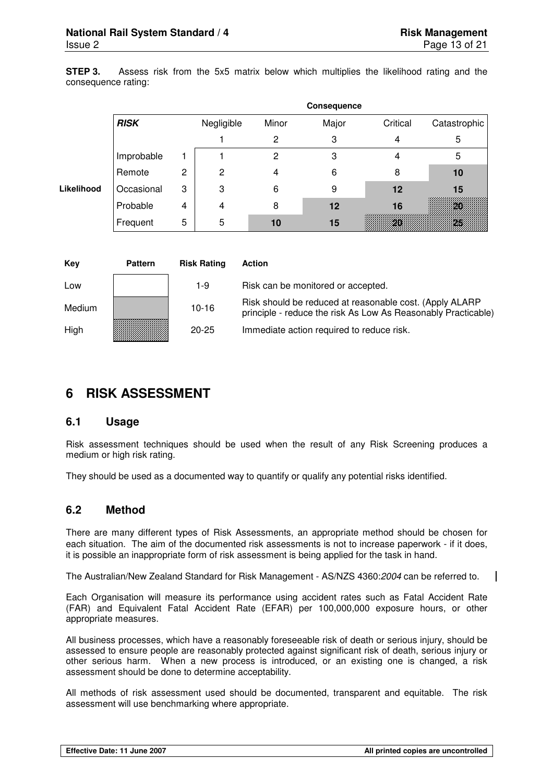**STEP 3.** Assess risk from the 5x5 matrix below which multiplies the likelihood rating and the consequence rating:

|            |             |   |            |       | Consequence |          |              |
|------------|-------------|---|------------|-------|-------------|----------|--------------|
|            | <b>RISK</b> |   | Negligible | Minor | Major       | Critical | Catastrophic |
|            |             |   |            | 2     | 3           | 4        | 5            |
|            | Improbable  |   |            | 2     | 3           |          | 5            |
|            | Remote      | 2 | 2          |       | 6           | 8        | 10           |
| Likelihood | Occasional  | 3 | 3          | 6     | 9           | 12       | 15           |
|            | Probable    | 4 | 4          | 8     | 12          | 16       |              |
|            | Frequent    | 5 | 5          | 10    | 15          |          |              |

| Key    | <b>Pattern</b> | <b>Risk Rating</b> | <b>Action</b>                                                                                                            |
|--------|----------------|--------------------|--------------------------------------------------------------------------------------------------------------------------|
| Low    |                | 1-9                | Risk can be monitored or accepted.                                                                                       |
| Medium |                | $10 - 16$          | Risk should be reduced at reasonable cost. (Apply ALARP<br>principle - reduce the risk As Low As Reasonably Practicable) |
| High   |                | $20 - 25$          | Immediate action required to reduce risk.                                                                                |

## **6 RISK ASSESSMENT**

#### **6.1 Usage**

Risk assessment techniques should be used when the result of any Risk Screening produces a medium or high risk rating.

They should be used as a documented way to quantify or qualify any potential risks identified.

#### **6.2 Method**

There are many different types of Risk Assessments, an appropriate method should be chosen for each situation. The aim of the documented risk assessments is not to increase paperwork - if it does, it is possible an inappropriate form of risk assessment is being applied for the task in hand.

The Australian/New Zealand Standard for Risk Management - AS/NZS 4360:2004 can be referred to.

Each Organisation will measure its performance using accident rates such as Fatal Accident Rate (FAR) and Equivalent Fatal Accident Rate (EFAR) per 100,000,000 exposure hours, or other appropriate measures.

All business processes, which have a reasonably foreseeable risk of death or serious injury, should be assessed to ensure people are reasonably protected against significant risk of death, serious injury or other serious harm. When a new process is introduced, or an existing one is changed, a risk assessment should be done to determine acceptability.

All methods of risk assessment used should be documented, transparent and equitable. The risk assessment will use benchmarking where appropriate.

 $\overline{\phantom{a}}$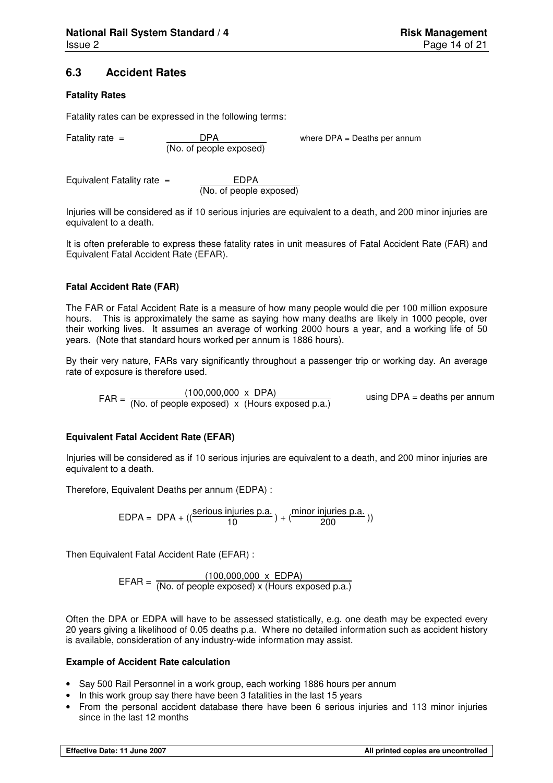#### **6.3 Accident Rates**

#### **Fatality Rates**

Fatality rates can be expressed in the following terms:

DPA<br>(No. of people exposed)

Fatality rate = DPA DPA where DPA = Deaths per annum

Equivalent Fatality rate = \_\_\_\_\_\_\_\_\_ EDPA

(No. of people exposed)

Injuries will be considered as if 10 serious injuries are equivalent to a death, and 200 minor injuries are equivalent to a death.

It is often preferable to express these fatality rates in unit measures of Fatal Accident Rate (FAR) and Equivalent Fatal Accident Rate (EFAR).

#### **Fatal Accident Rate (FAR)**

The FAR or Fatal Accident Rate is a measure of how many people would die per 100 million exposure hours. This is approximately the same as saying how many deaths are likely in 1000 people, over their working lives. It assumes an average of working 2000 hours a year, and a working life of 50 years. (Note that standard hours worked per annum is 1886 hours).

By their very nature, FARs vary significantly throughout a passenger trip or working day. An average rate of exposure is therefore used.

 $FAR = \frac{(100,000,000 \times DPA)}{(No. of people exposed) \times (House exposed p.a.)}$ using DPA = deaths per annum

#### **Equivalent Fatal Accident Rate (EFAR)**

Injuries will be considered as if 10 serious injuries are equivalent to a death, and 200 minor injuries are equivalent to a death.

Therefore, Equivalent Deaths per annum (EDPA) :

EDPA = DPA +  $((\frac{\text{serious injuries p.a.}}{10}) + (\frac{\text{minor injuries p.a.}}{200}))$ 

Then Equivalent Fatal Accident Rate (EFAR) :

 $EFAR = \frac{(100,000,000 \times EDPA)}{(No. of people exposed) \times (House exposed p.a.)}$ 

Often the DPA or EDPA will have to be assessed statistically, e.g. one death may be expected every 20 years giving a likelihood of 0.05 deaths p.a. Where no detailed information such as accident history is available, consideration of any industry-wide information may assist.

#### **Example of Accident Rate calculation**

- Say 500 Rail Personnel in a work group, each working 1886 hours per annum
- In this work group say there have been 3 fatalities in the last 15 years
- From the personal accident database there have been 6 serious injuries and 113 minor injuries since in the last 12 months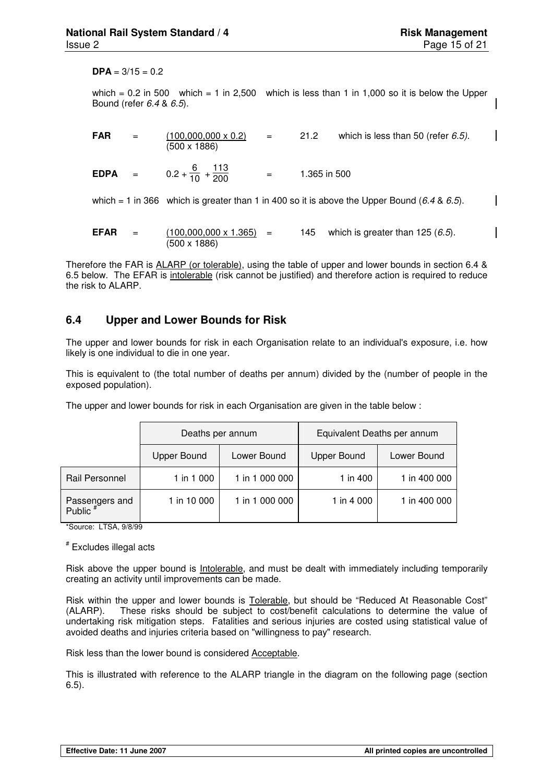$$ 

which =  $0.2$  in 500 which = 1 in 2,500 which is less than 1 in 1,000 so it is below the Upper Bound (refer 6.4 & 6.5).

| <b>FAR</b>  | $=$ | $(100,000,000 \times 0.2)$<br>(500 x 1886)     | $=$                  | 21.2         | which is less than 50 (refer $6.5$ ).                                                       |
|-------------|-----|------------------------------------------------|----------------------|--------------|---------------------------------------------------------------------------------------------|
| $EDPA =$    |     | $0.2 + \frac{6}{10} + \frac{113}{200}$         | $\alpha_{\rm c} = 0$ | 1.365 in 500 |                                                                                             |
|             |     |                                                |                      |              | which = 1 in 366 which is greater than 1 in 400 so it is above the Upper Bound (6.4 & 6.5). |
| <b>EFAR</b> | $=$ | $(100,000,000 \times 1.365) =$<br>(500 x 1886) |                      | 145          | which is greater than 125 $(6.5)$ .                                                         |

Therefore the FAR is ALARP (or tolerable), using the table of upper and lower bounds in section 6.4 & 6.5 below. The EFAR is intolerable (risk cannot be justified) and therefore action is required to reduce the risk to ALARP.

#### **6.4 Upper and Lower Bounds for Risk**

The upper and lower bounds for risk in each Organisation relate to an individual's exposure, i.e. how likely is one individual to die in one year.

This is equivalent to (the total number of deaths per annum) divided by the (number of people in the exposed population).

The upper and lower bounds for risk in each Organisation are given in the table below :

|                            | Deaths per annum   |                | Equivalent Deaths per annum |              |  |  |
|----------------------------|--------------------|----------------|-----------------------------|--------------|--|--|
|                            | <b>Upper Bound</b> | Lower Bound    | <b>Upper Bound</b>          | Lower Bound  |  |  |
| Rail Personnel             | 1 in 1 000         | 1 in 1 000 000 | 1 in 400                    | 1 in 400 000 |  |  |
| Passengers and<br>Public # | 1 in 10 000        | 1 in 1 000 000 | 1 in 4 000                  | 1 in 400 000 |  |  |

\*Source: LTSA, 9/8/99

# Excludes illegal acts

Risk above the upper bound is Intolerable, and must be dealt with immediately including temporarily creating an activity until improvements can be made.

Risk within the upper and lower bounds is Tolerable, but should be "Reduced At Reasonable Cost" (ALARP). These risks should be subject to cost/benefit calculations to determine the value of undertaking risk mitigation steps. Fatalities and serious injuries are costed using statistical value of avoided deaths and injuries criteria based on "willingness to pay" research.

Risk less than the lower bound is considered Acceptable.

This is illustrated with reference to the ALARP triangle in the diagram on the following page (section 6.5).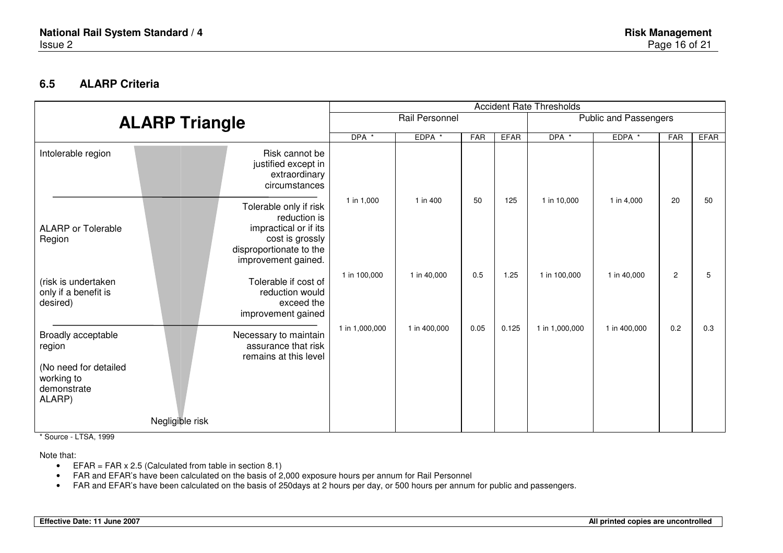### **6.5 ALARP Criteria**

|                                                                                              |                                                                                                                                      | <b>Accident Rate Thresholds</b> |                                                |      |             |                |              |                |             |
|----------------------------------------------------------------------------------------------|--------------------------------------------------------------------------------------------------------------------------------------|---------------------------------|------------------------------------------------|------|-------------|----------------|--------------|----------------|-------------|
|                                                                                              | <b>ALARP Triangle</b>                                                                                                                |                                 | <b>Public and Passengers</b><br>Rail Personnel |      |             |                |              |                |             |
|                                                                                              |                                                                                                                                      |                                 | EDPA *                                         | FAR  | <b>EFAR</b> | DPA *          | EDPA *       | FAR            | <b>EFAR</b> |
| Intolerable region                                                                           | Risk cannot be<br>justified except in<br>extraordinary<br>circumstances                                                              |                                 |                                                |      |             |                |              |                |             |
| <b>ALARP</b> or Tolerable<br>Region                                                          | Tolerable only if risk<br>reduction is<br>impractical or if its<br>cost is grossly<br>disproportionate to the<br>improvement gained. | 1 in 1,000                      | 1 in 400                                       | 50   | 125         | 1 in 10,000    | 1 in 4,000   | 20             | 50          |
| (risk is undertaken<br>only if a benefit is<br>desired)                                      | Tolerable if cost of<br>reduction would<br>exceed the<br>improvement gained                                                          | 1 in 100,000                    | 1 in 40,000                                    | 0.5  | 1.25        | 1 in 100,000   | 1 in 40,000  | $\overline{c}$ | 5           |
| Broadly acceptable<br>region<br>(No need for detailed<br>working to<br>demonstrate<br>ALARP) | Necessary to maintain<br>assurance that risk<br>remains at this level                                                                | 1 in 1,000,000                  | 1 in 400,000                                   | 0.05 | 0.125       | 1 in 1,000,000 | 1 in 400,000 | 0.2            | 0.3         |
|                                                                                              | Negligible risk                                                                                                                      |                                 |                                                |      |             |                |              |                |             |

\* Source - LTSA, 1999

Note that:

- EFAR = FAR  $x 2.5$  (Calculated from table in section 8.1)
- FAR and EFAR's have been calculated on the basis of 2,000 exposure hours per annum for Rail Personnel
- FAR and EFAR's have been calculated on the basis of 250days at 2 hours per day, or 500 hours per annum for public and passengers.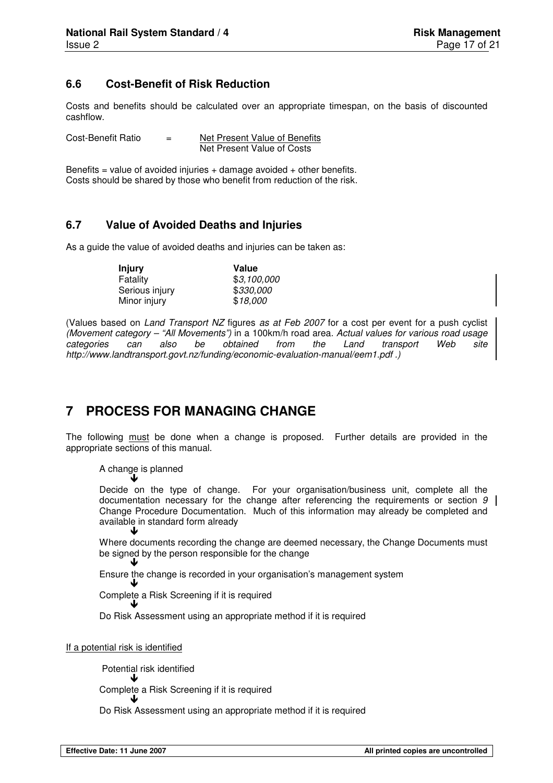## **6.6 Cost-Benefit of Risk Reduction**

Costs and benefits should be calculated over an appropriate timespan, on the basis of discounted cashflow.

Cost-Benefit Ratio = Net Present Value of Benefits Net Present Value of Costs

Benefits = value of avoided injuries  $+$  damage avoided  $+$  other benefits. Costs should be shared by those who benefit from reduction of the risk.

#### **6.7 Value of Avoided Deaths and Injuries**

As a guide the value of avoided deaths and injuries can be taken as:

| <b>Injury</b>  | Value       |  |  |  |  |
|----------------|-------------|--|--|--|--|
| Fatality       | \$3,100,000 |  |  |  |  |
| Serious injury | \$330,000   |  |  |  |  |
| Minor injury   | \$18,000    |  |  |  |  |

(Values based on Land Transport NZ figures as at Feb 2007 for a cost per event for a push cyclist (Movement category – "All Movements") in a 100km/h road area. Actual values for various road usage categories can also be obtained from the Land transport Web site http://www.landtransport.govt.nz/funding/economic-evaluation-manual/eem1.pdf .)

## **7 PROCESS FOR MANAGING CHANGE**

The following must be done when a change is proposed. Further details are provided in the appropriate sections of this manual.

#### A change is planned  $\downarrow$

Decide on the type of change. For your organisation/business unit, complete all the documentation necessary for the change after referencing the requirements or section 9 Change Procedure Documentation. Much of this information may already be completed and available in standard form already ↓

Where documents recording the change are deemed necessary, the Change Documents must be signed by the person responsible for the change  $\overline{\phantom{a}}$ 

Ensure the change is recorded in your organisation's management system

Complete a Risk Screening if it is required  $\overline{\phantom{a}}$ 

Do Risk Assessment using an appropriate method if it is required

#### If a potential risk is identified

J

Potential risk identified

 $\downarrow$ Complete a Risk Screening if it is required

 $\overline{\phantom{a}}$ Do Risk Assessment using an appropriate method if it is required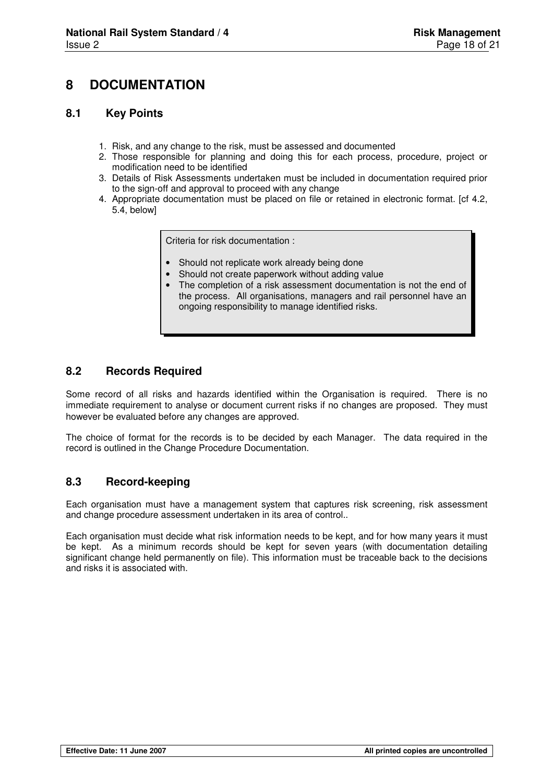## **8 DOCUMENTATION**

#### **8.1 Key Points**

- 1. Risk, and any change to the risk, must be assessed and documented
- 2. Those responsible for planning and doing this for each process, procedure, project or modification need to be identified
- 3. Details of Risk Assessments undertaken must be included in documentation required prior to the sign-off and approval to proceed with any change
- 4. Appropriate documentation must be placed on file or retained in electronic format. [cf 4.2, 5.4, below]

Criteria for risk documentation :

- Should not replicate work already being done
- Should not create paperwork without adding value
- The completion of a risk assessment documentation is not the end of the process. All organisations, managers and rail personnel have an ongoing responsibility to manage identified risks.

#### **8.2 Records Required**

Some record of all risks and hazards identified within the Organisation is required. There is no immediate requirement to analyse or document current risks if no changes are proposed. They must however be evaluated before any changes are approved.

The choice of format for the records is to be decided by each Manager. The data required in the record is outlined in the Change Procedure Documentation.

#### **8.3 Record-keeping**

Each organisation must have a management system that captures risk screening, risk assessment and change procedure assessment undertaken in its area of control..

Each organisation must decide what risk information needs to be kept, and for how many years it must be kept. As a minimum records should be kept for seven years (with documentation detailing significant change held permanently on file). This information must be traceable back to the decisions and risks it is associated with.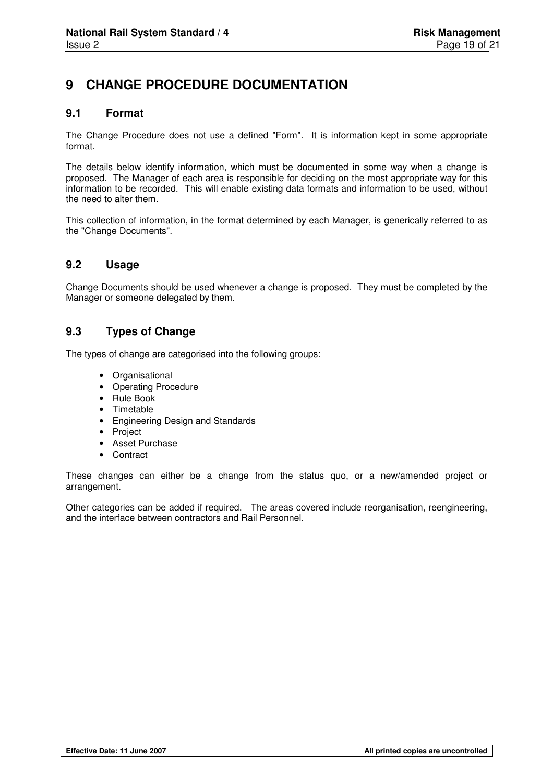## **9 CHANGE PROCEDURE DOCUMENTATION**

#### **9.1 Format**

The Change Procedure does not use a defined "Form". It is information kept in some appropriate format.

The details below identify information, which must be documented in some way when a change is proposed. The Manager of each area is responsible for deciding on the most appropriate way for this information to be recorded. This will enable existing data formats and information to be used, without the need to alter them.

This collection of information, in the format determined by each Manager, is generically referred to as the "Change Documents".

#### **9.2 Usage**

Change Documents should be used whenever a change is proposed. They must be completed by the Manager or someone delegated by them.

#### **9.3 Types of Change**

The types of change are categorised into the following groups:

- Organisational
- Operating Procedure
- Rule Book
- Timetable
- Engineering Design and Standards
- Project
- Asset Purchase
- Contract

These changes can either be a change from the status quo, or a new/amended project or arrangement.

Other categories can be added if required. The areas covered include reorganisation, reengineering, and the interface between contractors and Rail Personnel.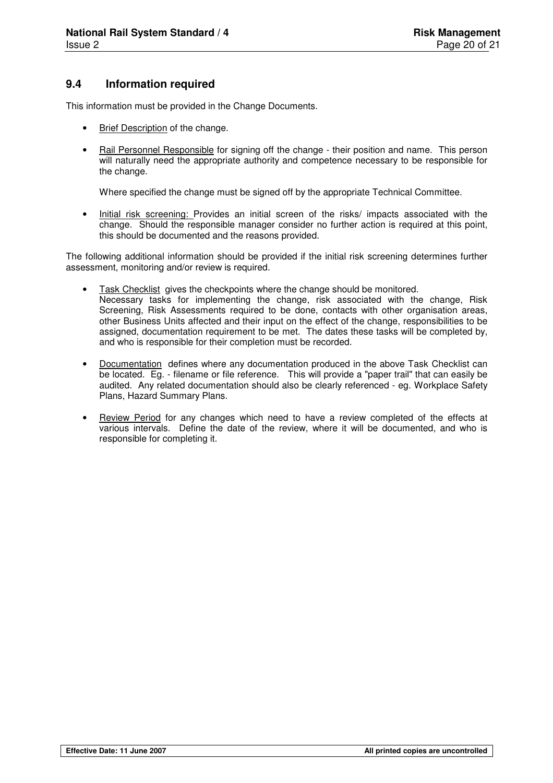### **9.4 Information required**

This information must be provided in the Change Documents.

- Brief Description of the change.
- Rail Personnel Responsible for signing off the change their position and name. This person will naturally need the appropriate authority and competence necessary to be responsible for the change.

Where specified the change must be signed off by the appropriate Technical Committee.

• Initial risk screening: Provides an initial screen of the risks/ impacts associated with the change. Should the responsible manager consider no further action is required at this point, this should be documented and the reasons provided.

The following additional information should be provided if the initial risk screening determines further assessment, monitoring and/or review is required.

- Task Checklist gives the checkpoints where the change should be monitored. Necessary tasks for implementing the change, risk associated with the change, Risk Screening, Risk Assessments required to be done, contacts with other organisation areas, other Business Units affected and their input on the effect of the change, responsibilities to be assigned, documentation requirement to be met. The dates these tasks will be completed by, and who is responsible for their completion must be recorded.
- Documentation defines where any documentation produced in the above Task Checklist can be located. Eg. - filename or file reference. This will provide a "paper trail" that can easily be audited. Any related documentation should also be clearly referenced - eg. Workplace Safety Plans, Hazard Summary Plans.
- Review Period for any changes which need to have a review completed of the effects at various intervals. Define the date of the review, where it will be documented, and who is responsible for completing it.